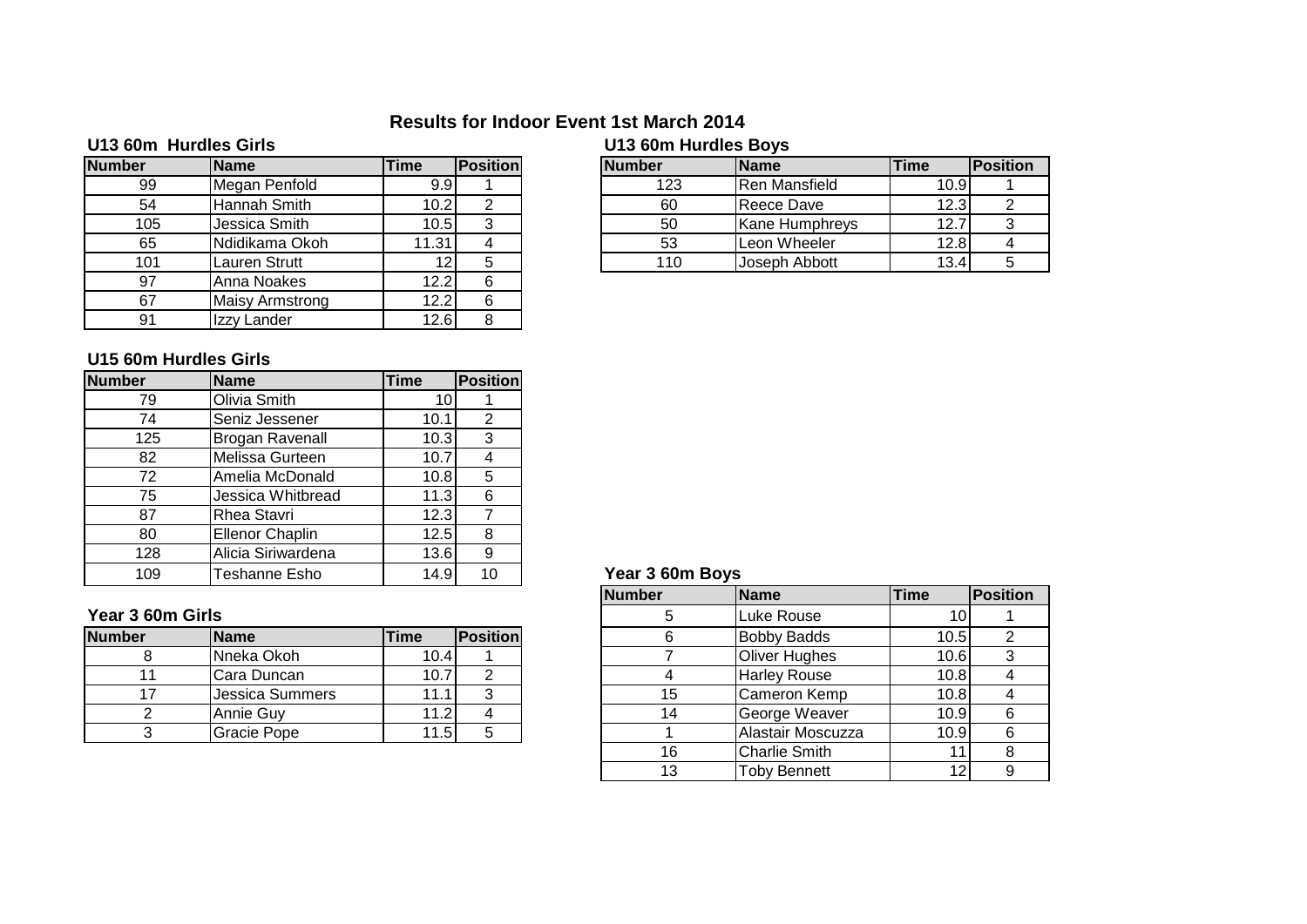# **Results for Indoor Event 1st March 2014**

| U13 60m Hurdles Girls |                        |             |                 | U13 60m Hurdles Boys |                       |      |          |
|-----------------------|------------------------|-------------|-----------------|----------------------|-----------------------|------|----------|
| <b>Number</b>         | <b>Name</b>            | <b>Time</b> | <b>Position</b> | <b>Number</b>        | <b>Name</b>           | Time | Position |
| 99                    | Megan Penfold          | 9.9         |                 | 123                  | Ren Mansfield         | 10.9 |          |
| 54                    | Hannah Smith           | 10.2        | 2               | 60                   | Reece Dave            | 12.3 | ົ        |
| 105                   | Jessica Smith          | 10.5        | 3               | 50                   | <b>Kane Humphreys</b> | 12.7 |          |
| 65                    | Ndidikama Okoh         | 11.31       | 4               | 53                   | Leon Wheeler          | 12.8 |          |
| 101                   | Lauren Strutt          | 12          | 5               | 110                  | Joseph Abbott         | 13.4 |          |
| 97                    | Anna Noakes            | 12.2        | 6               |                      |                       |      |          |
| 67                    | <b>Maisy Armstrong</b> | 12.2        | 6               |                      |                       |      |          |
| 91                    | Izzy Lander            | 12.6        | 8               |                      |                       |      |          |

### 123 Ren Mansfield 10.9 1<br>60 Reece Dave 12.3 2 Hannah Smith 10.2 2 60 Reece Dave 12.3 2 12.7 3 3 3 Leon Wheeler 12.8 4 53 Leon Wheeler 12.8 4<br>110 Joseph Abbott 13.4 5 Joseph Abbott | 13.4 5

### **U15 60m Hurdles Girls**

| <b>Number</b> | <b>Name</b>            | <b>Time</b> | <b>Position</b> |
|---------------|------------------------|-------------|-----------------|
| 79            | <b>Olivia Smith</b>    | 10          |                 |
| 74            | Seniz Jessener         | 10.1        | 2               |
| 125           | <b>Brogan Ravenall</b> | 10.3        | 3               |
| 82            | Melissa Gurteen        | 10.7        |                 |
| 72            | Amelia McDonald        | 10.8        | 5               |
| 75            | Jessica Whitbread      | 11.3        | 6               |
| 87            | Rhea Stavri            | 12.3        |                 |
| 80            | <b>Ellenor Chaplin</b> | 12.5        | 8               |
| 128           | Alicia Siriwardena     | 13.6        | 9               |
| 109           | <b>Teshanne Esho</b>   | 14.9        |                 |

### **Year 3 60m Girls**

| <b>Number</b> | <b>Name</b>     | Time  | <b>IPositionl</b> |  | <b>Bobby Badds</b>   | 10.5  |   |
|---------------|-----------------|-------|-------------------|--|----------------------|-------|---|
|               | Nneka Okoh      | 10.4  |                   |  | <b>Oliver Hughes</b> | 10.6  | ີ |
|               | Cara Duncan     | 10.7  |                   |  | <b>Harley Rouse</b>  | 10.81 |   |
|               | Jessica Summers | 11.1, |                   |  | Cameron Kemp         | 10.8  |   |
|               | Annie Guv       | 11.2  |                   |  | George Weaver        | 10.9  |   |
|               | Gracie Pope     | 11.5  |                   |  | Alastair Moscuzza    | 10.9  |   |
|               |                 |       |                   |  |                      |       |   |

### Year 3 60m Boys

|           |                    |             |                 | <b>Number</b> | <b>Name</b>          | <b>Time</b> | <b>Position</b> |
|-----------|--------------------|-------------|-----------------|---------------|----------------------|-------------|-----------------|
| 60m Girls |                    |             |                 |               | Luke Rouse           |             |                 |
|           | <b>Name</b>        | <b>Time</b> | <b>Position</b> |               | <b>Bobby Badds</b>   | 10.5        |                 |
| 8         | Nneka Okoh         | 10.4        |                 |               | <b>Oliver Hughes</b> | 10.6        |                 |
| 11        | Cara Duncan        | 10.7        | 2               |               | <b>Harley Rouse</b>  | 10.8        |                 |
| 17        | Jessica Summers    | 11.1        | 3               | 15            | <b>Cameron Kemp</b>  | 10.8        |                 |
| 2         | Annie Guy          | 11.21       | 4               | 14            | George Weaver        | 10.9        | 6               |
| 3         | <b>Gracie Pope</b> | 11.5        | 5               |               | Alastair Moscuzza    | 10.9        | ิค              |
|           |                    |             |                 | 16            | <b>Charlie Smith</b> |             |                 |
|           |                    |             |                 | 13            | <b>Toby Bennett</b>  |             |                 |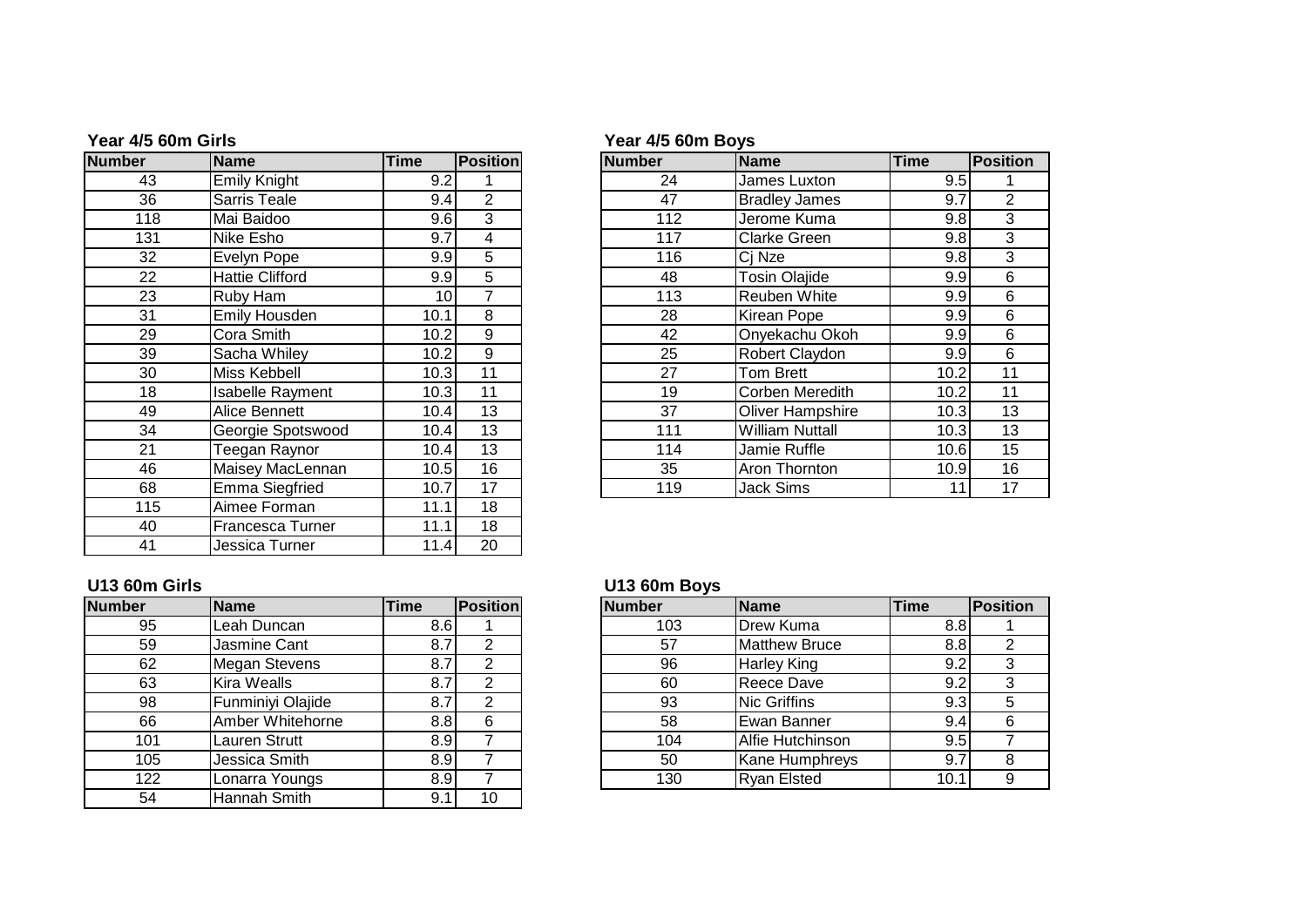| <b>Number</b> | <b>Name</b>             | <b>Time</b> | <b>Position</b> | <b>Number</b> | <b>Name</b>             | <b>Time</b> | Position       |
|---------------|-------------------------|-------------|-----------------|---------------|-------------------------|-------------|----------------|
| 43            | <b>Emily Knight</b>     | 9.2         |                 | 24            | James Luxton            | 9.5         |                |
| 36            | Sarris Teale            | 9.4         | $\overline{2}$  | 47            | <b>Bradley James</b>    | 9.7         | $\overline{2}$ |
| 118           | Mai Baidoo              | 9.6         | 3               | 112           | Jerome Kuma             | 9.8         | 3              |
| 131           | Nike Esho               | 9.7         | 4               | 117           | <b>Clarke Green</b>     | 9.8         | 3              |
| 32            | Evelyn Pope             | 9.9         | 5               | 116           | Ci Nze                  | 9.8         | $\overline{3}$ |
| 22            | <b>Hattie Clifford</b>  | 9.9         | 5               | 48            | Tosin Olajide           | 9.9         | 6              |
| 23            | Ruby Ham                | 10          | 7               | 113           | Reuben White            | 9.9         | 6              |
| 31            | Emily Housden           | 10.1        | 8               | 28            | Kirean Pope             | 9.9         | 6              |
| 29            | Cora Smith              | 10.2        | 9               | 42            | Onyekachu Okoh          | 9.9         | 6              |
| 39            | Sacha Whiley            | 10.2        | 9               | 25            | Robert Claydon          | 9.9         | 6              |
| 30            | Miss Kebbell            | 10.3        | 11              | 27            | Tom Brett               | 10.2        | 11             |
| 18            | <b>Isabelle Rayment</b> | 10.3        | 11              | 19            | Corben Meredith         | 10.2        | 11             |
| 49            | Alice Bennett           | 10.4        | 13              | 37            | <b>Oliver Hampshire</b> | 10.3        | 13             |
| 34            | Georgie Spotswood       | 10.4        | 13              | 111           | <b>William Nuttall</b>  | 10.3        | 13             |
| 21            | Teegan Raynor           | 10.4        | 13              | 114           | Jamie Ruffle            | 10.6        | 15             |
| 46            | Maisey MacLennan        | 10.5        | 16              | 35            | Aron Thornton           | 10.9        | 16             |
| 68            | <b>Emma Siegfried</b>   | 10.7        | 17              | 119           | Jack Sims               | 11          | 17             |
| 115           | Aimee Forman            | 11.1        | 18              |               |                         |             |                |
| 40            | Francesca Turner        | 11.1        | 18              |               |                         |             |                |
| 41            | Jessica Turner          | 11.4        | 20              |               |                         |             |                |

## **Year 4/5 60m Girls Year 4/5 60m Boys**

|                 | Name                    | <b>Time</b>     | <b>Position</b> | <b>Number</b> | <b>Name</b>             | <b>Time</b> | <b>Position</b> |
|-----------------|-------------------------|-----------------|-----------------|---------------|-------------------------|-------------|-----------------|
| 43              | <b>Emily Knight</b>     | 9.2             |                 | 24            | James Luxton            | 9.5         |                 |
| 36              | <b>Sarris Teale</b>     | 9.4             | 2               | 47            | <b>Bradley James</b>    | 9.7         |                 |
| 118             | Mai Baidoo              | 9.6             | 3               | 112           | Jerome Kuma             | 9.8         |                 |
| 131             | Nike Esho               | 9.7             | 4               | 117           | <b>Clarke Green</b>     | 9.8         |                 |
| 32              | Evelyn Pope             | 9.9             | 5               | 116           | Ci Nze                  | 9.8         |                 |
| $\overline{22}$ | <b>Hattie Clifford</b>  | 9.9             | 5               | 48            | <b>Tosin Olajide</b>    | 9.9         |                 |
| 23              | Ruby Ham                | 10 <sub>1</sub> | 7               | 113           | <b>Reuben White</b>     | 9.9         |                 |
| 31              | <b>Emily Housden</b>    | 10.1            | 8               | 28            | <b>Kirean Pope</b>      | 9.9         |                 |
| 29              | Cora Smith              | 10.2            | 9               | 42            | Onyekachu Okoh          | 9.9         |                 |
| 39              | Sacha Whiley            | 10.2            | 9               | 25            | Robert Claydon          | 9.9         |                 |
| 30              | Miss Kebbell            | 10.3            | 11              | 27            | <b>Tom Brett</b>        | 10.2        |                 |
| 18              | <b>Isabelle Rayment</b> | 10.3            | 11              | 19            | <b>Corben Meredith</b>  | 10.2        |                 |
| 49              | Alice Bennett           | 10.4            | 13              | 37            | <b>Oliver Hampshire</b> | 10.3        |                 |
| 34              | Georgie Spotswood       | 10.4            | 13              | 111           | <b>William Nuttall</b>  | 10.3        |                 |
| 21              | Teegan Raynor           | 10.4            | 13              | 114           | Jamie Ruffle            | 10.6        |                 |
| 46              | Maisey MacLennan        | 10.5            | 16              | 35            | Aron Thornton           | 10.9        |                 |
| 68              | Emma Siegfried          | 10.7            | 17              | 119           | <b>Jack Sims</b>        |             |                 |
|                 |                         |                 |                 |               |                         |             |                 |

# **U13 60m Girls U13 60m Boys**

| <b>Number</b> | <b>Name</b>          | <b>Time</b> | <b>Position</b> |
|---------------|----------------------|-------------|-----------------|
| 95            | Leah Duncan          | 8.6         |                 |
| 59            | Jasmine Cant         | 8.7         | 2               |
| 62            | <b>Megan Stevens</b> | 8.7         | $\overline{2}$  |
| 63            | <b>Kira Wealls</b>   | 8.7         | $\overline{2}$  |
| 98            | Funminiyi Olajide    | 8.7         | 2               |
| 66            | Amber Whitehorne     | 8.8         | 6               |
| 101           | <b>Lauren Strutt</b> | 8.9         |                 |
| 105           | Jessica Smith        | 8.9         |                 |
| 122           | Lonarra Youngs       | 8.9         |                 |
| 54            | Hannah Smith         | 9.1         | 10              |

| <b>Number</b> | <b>Name</b>          | <b>Time</b>      | <b>Position</b> | <b>Number</b> | <b>Name</b>           | <b>Time</b> | <b>Position</b> |
|---------------|----------------------|------------------|-----------------|---------------|-----------------------|-------------|-----------------|
| 95            | Leah Duncan          | 8.bl             |                 | 103           | <b>Drew Kuma</b>      | 8.8I        |                 |
| 59            | Jasmine Cant         | 8.7              |                 | 57            | <b>Matthew Bruce</b>  | 8.8         |                 |
| 62            | Megan Stevens        |                  |                 | 96            | <b>Harley King</b>    | 9.2         |                 |
| 63            | <b>Kira Wealls</b>   |                  |                 | 60            | <b>Reece Dave</b>     | 9.2         |                 |
| 98            | Funminiyi Olajide    |                  |                 | 93            | <b>Nic Griffins</b>   | 9.3         | 5               |
| 66            | Amber Whitehorne     | 8.8I             |                 | 58            | Ewan Banner           | 9.4         |                 |
| 101           | <b>Lauren Strutt</b> | 8.9 <sub>1</sub> |                 | 104           | Alfie Hutchinson      | 9.5         |                 |
| 105           | Jessica Smith        | 8.91             |                 | 50            | <b>Kane Humphreys</b> | 9.7         | o               |
| 122           | Lonarra Youngs       | 8.91             |                 | 130           | <b>Ryan Elsted</b>    | 10.7        |                 |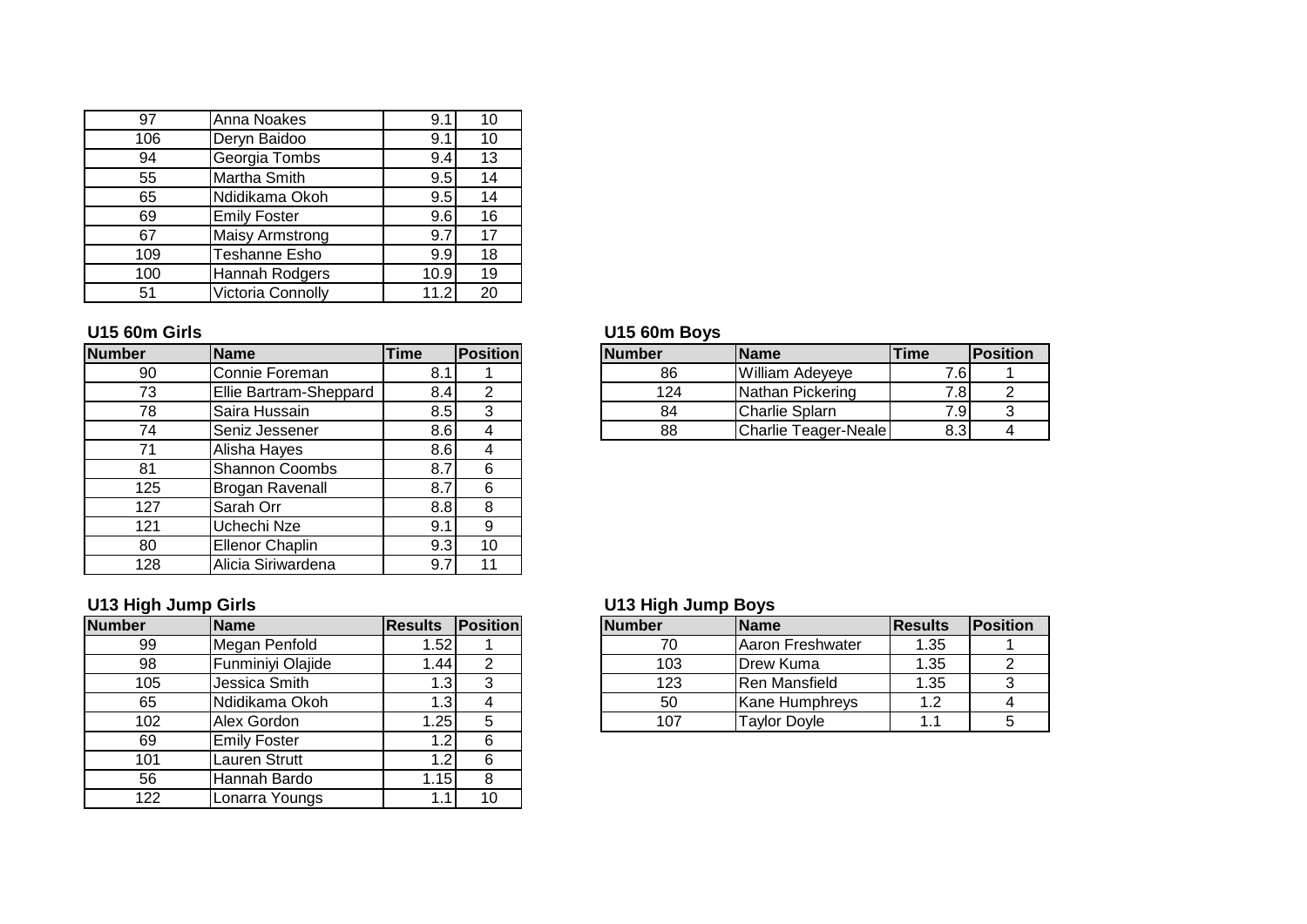| 97  | Anna Noakes            | 9.1  | 10 |
|-----|------------------------|------|----|
| 106 | Deryn Baidoo           | 9.1  | 10 |
| 94  | Georgia Tombs          | 9.4  | 13 |
| 55  | <b>Martha Smith</b>    | 9.5  | 14 |
| 65  | Ndidikama Okoh         | 9.5  | 14 |
| 69  | <b>Emily Foster</b>    | 9.6  | 16 |
| 67  | <b>Maisy Armstrong</b> | 9.7  | 17 |
| 109 | Teshanne Esho          | 9.9  | 18 |
| 100 | Hannah Rodgers         | 10.9 | 19 |
| 51  | Victoria Connolly      | 11.2 | 20 |

| <b>Number</b> | <b>Name</b>            | <b>Time</b> | <b>Position</b> |
|---------------|------------------------|-------------|-----------------|
| 90            | Connie Foreman         | 8.1         |                 |
| 73            | Ellie Bartram-Sheppard | 8.4         | $\overline{2}$  |
| 78            | Saira Hussain          | 8.5         | 3               |
| 74            | Seniz Jessener         | 8.6         |                 |
| 71            | Alisha Hayes           | 8.6         |                 |
| 81            | Shannon Coombs         | 8.7         | 6               |
| 125           | <b>Brogan Ravenall</b> | 8.7         | 6               |
| 127           | Sarah Orr              | 8.8         | 8               |
| 121           | Uchechi Nze            | 9.1         | 9               |
| 80            | <b>Ellenor Chaplin</b> | 9.3         | 10              |
| 128           | Alicia Siriwardena     | 9.7         | 11              |

| <b>Number</b> | Name                | <b>Results Position</b> |    | <b>Number</b> | <b>Name</b>           | <b>Results</b> | Position |
|---------------|---------------------|-------------------------|----|---------------|-----------------------|----------------|----------|
| 99            | Megan Penfold       | .52                     |    | 70            | Aaron Freshwater      | 1.35           |          |
| 98            | Funminiyi Olajide   | ا 44. ا                 | 2  | 103           | Drew Kuma             | 1.35           | ົ        |
| 105           | Jessica Smith       | l .3                    | 3  | 123           | Ren Mansfield         | 1.35           | ົ        |
| 65            | Ndidikama Okoh      | . 3                     | 4  | 50            | <b>Kane Humphreys</b> | 1.2            |          |
| 102           | Alex Gordon         | $\overline{25}$         | 5  | 107           | <b>Taylor Doyle</b>   | 1.1            |          |
| 69            | <b>Emily Foster</b> | $\cdot$ .2              | 6  |               |                       |                |          |
| 101           | Lauren Strutt       | ا2. ا                   | 6  |               |                       |                |          |
| 56            | Hannah Bardo        | 1.15                    | 8  |               |                       |                |          |
| 122           | Lonarra Youngs      | l .1                    | 10 |               |                       |                |          |

# **U15 60m Girls U15 60m Boys**

| <b>Number</b> | <b>IName</b>           | <b>Time</b> | <b>Positionl</b> | <b>Number</b> | <b>IName</b>         | <b>Time</b> | <b>IPosition</b> |
|---------------|------------------------|-------------|------------------|---------------|----------------------|-------------|------------------|
| 90            | Connie Foreman         |             |                  | 86            | William Adeveye      | ′.6I        |                  |
| 70<br>ں ،     | Ellie Bartram-Sheppard | 8.4I        |                  | 124           | INathan Pickering    | 7.81        |                  |
| 78            | ISaira Hussain         | 8.5I        |                  | 84            | Charlie Splarn       | 7.91        |                  |
| 74            | <b>ISeniz Jessener</b> | 8.6I        |                  | 88            | Charlie Teager-Neale | 8.3         |                  |

# **U13 High Jump Girls U13 High Jump Boys**

|     | <b>IName</b>      | <b>Results</b> | <b>Position</b> | <b>Number</b> | <b>IName</b>          | <b>IResults</b> | Position |
|-----|-------------------|----------------|-----------------|---------------|-----------------------|-----------------|----------|
| 99  | Megan Penfold     | ا52، ،         |                 |               | IAaron Freshwater     | 1.35            |          |
| 98  | Funminiyi Olajide | .441           |                 | 103           | <b>IDrew Kuma</b>     | 1.35            |          |
| 105 | Jessica Smith     | . .31          |                 | 123           | <b>IRen Mansfield</b> | 1.35            |          |
| 65  | INdidikama Okoh   | اٽ.            |                 | 50            | <b>Kane Humphreys</b> | l.2             |          |
| 102 | Alex Gordon       | .25            |                 | 107           | <b>Tavlor Dovle</b>   | . .             |          |
|     |                   |                |                 |               |                       |                 |          |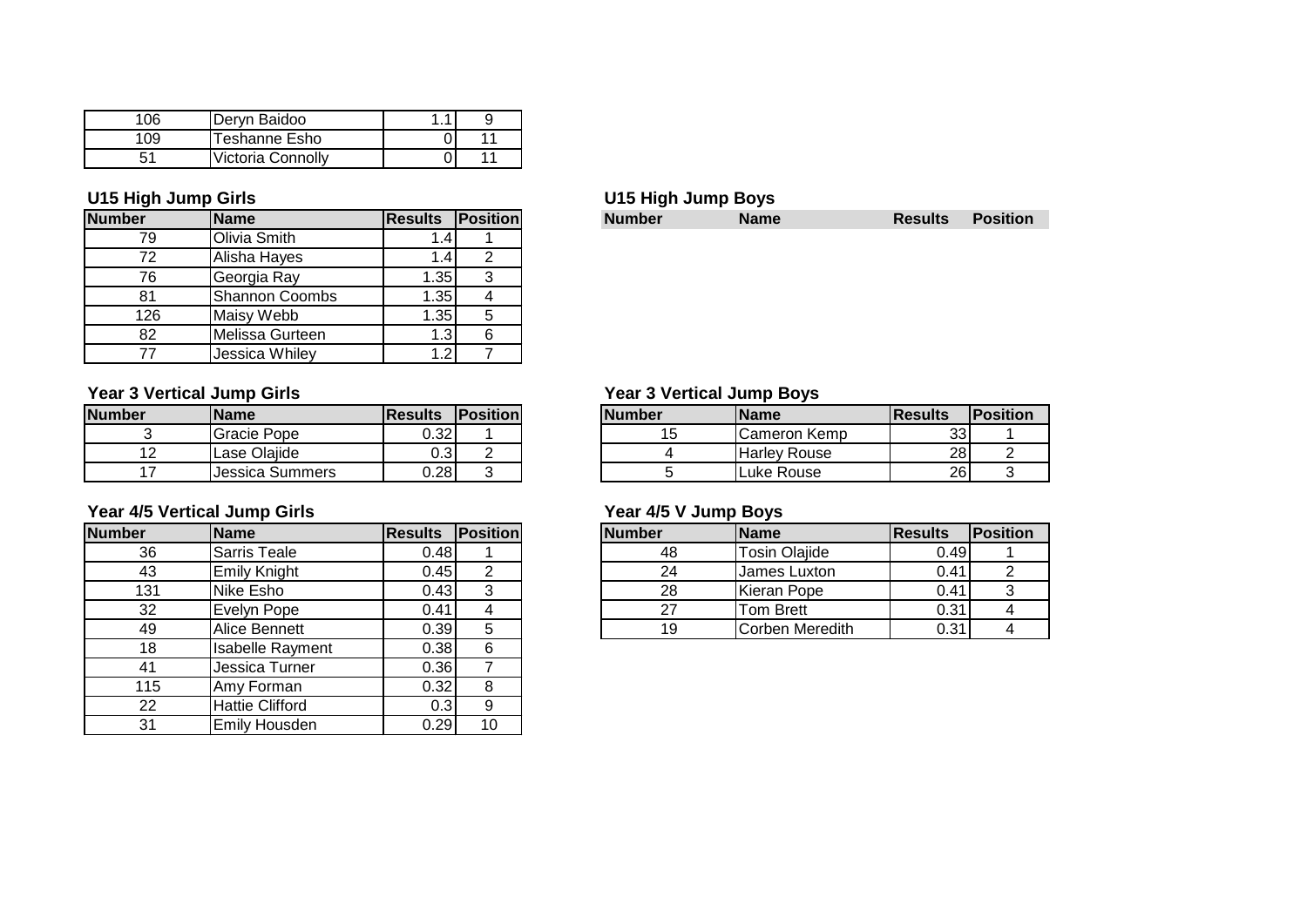| 06 | Deryn Baidoo      |  |
|----|-------------------|--|
|    | Teshanne Esho     |  |
| 51 | Victoria Connolly |  |

| U15 High Jump Girls |                       |                |                 |
|---------------------|-----------------------|----------------|-----------------|
| <b>Number</b>       | <b>Name</b>           | <b>Results</b> | <b>Position</b> |
| 79                  | Olivia Smith          | .4             |                 |
| 72                  | Alisha Hayes          | 1.4            | 2               |
| 76                  | Georgia Ray           | 1.35           | 3               |
| 81                  | <b>Shannon Coombs</b> | 1.35           |                 |
| 126                 | Maisy Webb            | 1.35           | 5               |
| 82                  | Melissa Gurteen       | 1.3            | 6               |
| 77                  | Jessica Whiley        | 1.2            |                 |

### **Year 3 Vertical Jump Girls Year 3 Vertical Jump Boys**

| <b>Number</b> | <b>IName</b>     | <b>IResults</b> | <b>Position</b> | <b>Number</b> | <b>IName</b> | lResults | <b>IPosition</b> |
|---------------|------------------|-----------------|-----------------|---------------|--------------|----------|------------------|
|               | Gracie Pope      | 0.321           |                 | טו            | Cameron Kemp | ົ<br>ັບປ |                  |
| . .           | Lase Olajide     | 0.31            |                 |               | Harlev Rouse | 28       |                  |
|               | IJessica Summers | 0.281           |                 |               | Luke Rouse   | 26       |                  |

### **Year 4/5 Vertical Jump Girls Year 4/5 V Jump Boys**

| <b>Number</b> | <b>Name</b>             | <b>Results</b> | <b>Position</b> |
|---------------|-------------------------|----------------|-----------------|
| 36            | Sarris Teale            | 0.48           |                 |
| 43            | <b>Emily Knight</b>     | 0.45           | 2               |
| 131           | <b>Nike Esho</b>        | 0.43           | 3               |
| 32            | Evelyn Pope             | 0.41           |                 |
| 49            | Alice Bennett           | 0.39           | 5               |
| 18            | <b>Isabelle Rayment</b> | 0.38           | 6               |
| 41            | Jessica Turner          | 0.36           |                 |
| 115           | Amy Forman              | 0.32           | 8               |
| 22            | <b>Hattie Clifford</b>  | 0.3            | 9               |
| 31            | <b>Emily Housden</b>    | 0.29           | 10              |

**Results Position** 

|          | <b>Name</b>     | <b>IResults</b> | <b>IPosition</b> | <b>Number</b> | <b>IName</b>        | <b>IResults</b> | <b>IPosition</b> |
|----------|-----------------|-----------------|------------------|---------------|---------------------|-----------------|------------------|
| ٮ        | Gracie Pope     | 0.32            |                  |               | Cameron Kemp        | 33              |                  |
| 12<br>12 | Lase Olajide    | 0.3             |                  |               | <b>Harley Rouse</b> | 28              |                  |
|          | Jessica Summers | 0.28            | ັ                |               | Luke Rouse          | 26              |                  |

| Number | lName                | <b>IResults</b> | <b>Position</b> | <b>Number</b> | <b>Name</b>          | <b>IResults</b> | <b>IPosition</b> |
|--------|----------------------|-----------------|-----------------|---------------|----------------------|-----------------|------------------|
| 36     | Sarris Teale         | 0.48            |                 | 48            | <b>Tosin Olajide</b> | 0.49            |                  |
| 43     | Emily Knight         | 0.45            |                 | 24            | IJames Luxton        | 0.41            |                  |
| 131    | <b>I</b> Nike Esho   | 0.43            |                 | 28            | Kieran Pope          | 0.41            | ັ                |
| 32     | <b>I</b> Evelvn Pope | 0.41            |                 |               | Tom Brett            | 0.31            |                  |
| 49     | <b>Alice Bennett</b> | 0.39            |                 |               | ICorben Meredith     | 0.31            |                  |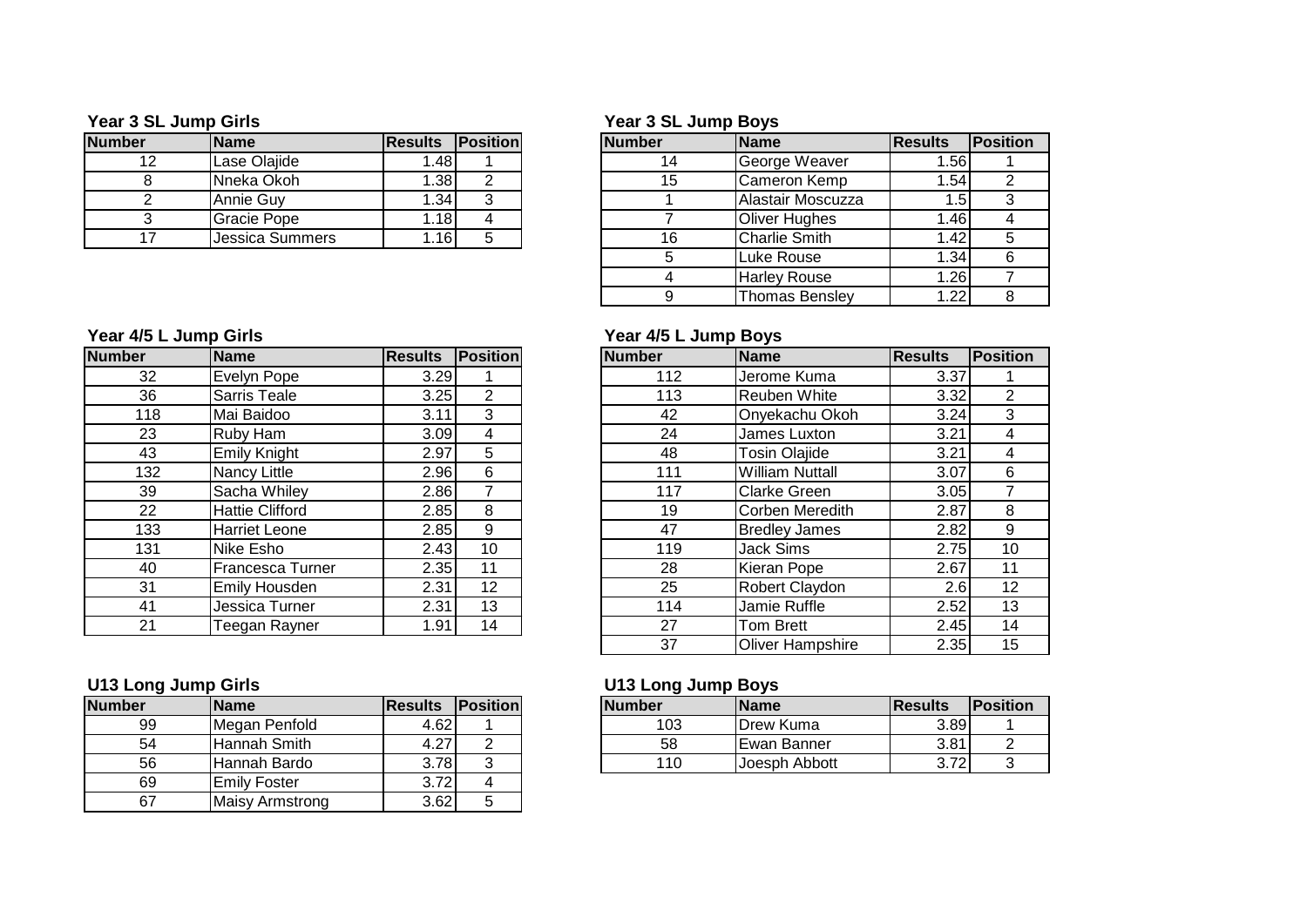| <b>Number</b> | <b>Name</b>     | <b>IResults</b>  | <b>IPosition</b> | <b>Number</b> | <b>Name</b>       | <b>IResults</b>   | <b>IPosition</b> |
|---------------|-----------------|------------------|------------------|---------------|-------------------|-------------------|------------------|
|               | Lase Olajide    | .481             |                  |               | George Weaver     | l.56l             |                  |
|               | INneka Okoh     | .38 <sub>l</sub> |                  | 15            | ICameron Kemp     | 1.541             |                  |
|               | Annie Guv       | .34 <sub>1</sub> |                  |               | Alastair Moscuzza |                   |                  |
|               | Gracie Pope     | .18 <sup>1</sup> |                  |               | lOliver Huahes    | 1.461             |                  |
|               | Jessica Summers | .16              |                  |               | Charlie Smith     | 1.42 <sub>1</sub> |                  |

### **Year 3 SL Jump Girls Year 3 SL Jump Boys**

|    | <b>Name</b>            | <b>Results</b> | <b>Position</b> | <b>Number</b> | Name                  | <b>Results</b> | Position |
|----|------------------------|----------------|-----------------|---------------|-----------------------|----------------|----------|
| 12 | Lase Olajide           | 1.481          |                 | 14            | George Weaver         | 1.56           |          |
| 8  | Nneka Okoh             | .38            | ◠               | 15            | Cameron Kemp          | 1.54           |          |
| 2  | Annie Guy              | .34            | ົ               |               | Alastair Moscuzza     | $.5^{\circ}$   |          |
| 3  | Gracie Pope            | . 181          |                 |               | <b>Oliver Hughes</b>  | 1.46           |          |
| 17 | <b>Jessica Summers</b> | ا16.،          | 5               | 16            | <b>Charlie Smith</b>  | 1.42           |          |
|    |                        |                |                 |               | Luke Rouse            | 1.34           |          |
|    |                        |                |                 |               | <b>Harley Rouse</b>   | 1.26           |          |
|    |                        |                |                 |               | <b>Thomas Bensley</b> | 1.22           |          |

| <b>Number</b> | <b>Name</b>            | <b>Results</b> | Position        | <b>Number</b> | Name                   | <b>Results</b> | Position        |
|---------------|------------------------|----------------|-----------------|---------------|------------------------|----------------|-----------------|
| 32            | Evelyn Pope            | 3.29           |                 | 112           | Jerome Kuma            | 3.37           |                 |
| 36            | Sarris Teale           | 3.25           | $\overline{2}$  | 113           | <b>Reuben White</b>    | 3.32           | $\overline{2}$  |
| 118           | Mai Baidoo             | 3.11           | 3               | 42            | Onyekachu Okoh         | 3.24           | 3               |
| 23            | Ruby Ham               | 3.09           | 4               | 24            | James Luxton           | 3.21           | 4               |
| 43            | Emily Knight           | 2.97           | 5               | 48            | <b>Tosin Olajide</b>   | 3.21           | 4               |
| 132           | <b>Nancy Little</b>    | 2.96           | 6               | 111           | <b>William Nuttall</b> | 3.07           | 6               |
| 39            | Sacha Whiley           | 2.86           | 7               | 117           | <b>Clarke Green</b>    | 3.05           |                 |
| 22            | <b>Hattie Clifford</b> | 2.85           | 8               | 19            | Corben Meredith        | 2.87           | 8               |
| 133           | <b>Harriet Leone</b>   | 2.85           | 9               | 47            | <b>Bredley James</b>   | 2.82           | 9               |
| 131           | Nike Esho              | 2.43           | 10              | 119           | Jack Sims              | 2.75           | 10              |
| 40            | Francesca Turner       | 2.35           | 11              | 28            | Kieran Pope            | 2.67           | 11              |
| 31            | <b>Emily Housden</b>   | 2.31           | 12 <sup>2</sup> | 25            | Robert Claydon         | 2.6            | 12 <sup>°</sup> |
| 41            | Jessica Turner         | 2.31           | 13              | 114           | Jamie Ruffle           | 2.52           | 13              |
| 21            | Teegan Rayner          | 1.91           | 14              | 27            | Tom Brett              | 2.45           | 14              |

| Number | <b>Name</b>            | <b>Results Position</b> |  |
|--------|------------------------|-------------------------|--|
| 99     | Megan Penfold          | 4.62                    |  |
| 54     | Hannah Smith           | 4.27                    |  |
| 56     | Hannah Bardo           | 3.78                    |  |
| 69     | <b>Emily Foster</b>    | 3.72                    |  |
|        | <b>Maisy Armstrong</b> | 3.62                    |  |

## **Year 4/5 L Jump Girls Year 4/5 L Jump Boys**

| ₹ľ  | Name                    | <b>Results</b> | Position       | <b>Number</b> | Name                    | <b>Results</b> | <b>Position</b> |
|-----|-------------------------|----------------|----------------|---------------|-------------------------|----------------|-----------------|
| 32  | Evelyn Pope             | 3.29           |                | 112           | Jerome Kuma             | 3.37           |                 |
| 36  | <b>Sarris Teale</b>     | 3.25           | $\overline{2}$ | 113           | <b>Reuben White</b>     | 3.32           | 2               |
| 118 | Mai Baidoo              | 3.11           | 3              | 42            | Onyekachu Okoh          | 3.24           | 3               |
| 23  | Ruby Ham                | 3.09           | 4              | 24            | James Luxton            | 3.21           | 4               |
| 43  | <b>Emily Knight</b>     | 2.97           | 5              | 48            | <b>Tosin Olajide</b>    | 3.21           | 4               |
| 132 | Nancy Little            | 2.96           | 6              | 111           | <b>William Nuttall</b>  | 3.07           | 6               |
| 39  | Sacha Whiley            | 2.86           | $\overline{7}$ | 117           | <b>Clarke Green</b>     | 3.05           |                 |
| 22  | <b>Hattie Clifford</b>  | 2.85           | 8              | 19            | <b>Corben Meredith</b>  | 2.87           | 8               |
| 133 | <b>Harriet Leone</b>    | 2.85           | 9              | 47            | <b>Bredley James</b>    | 2.82           | 9               |
| 131 | Nike Esho               | 2.43           | 10             | 119           | <b>Jack Sims</b>        | 2.75           | 10              |
| 40  | <b>Francesca Turner</b> | 2.35           | 11             | 28            | Kieran Pope             | 2.67           | 11              |
| 31  | <b>Emily Housden</b>    | 2.31           | 12             | 25            | Robert Claydon          | 2.6            | 12 <sub>2</sub> |
| 41  | Jessica Turner          | 2.31           | 13             | 114           | Jamie Ruffle            | 2.52           | 13              |
| 21  | Teegan Rayner           | 1.91           | 14             | 27            | <b>Tom Brett</b>        | 2.45           | 14              |
|     |                         |                |                | 37            | <b>Oliver Hampshire</b> | 2.35           | 15              |

# **U13 Long Jump Girls U13 Long Jump Boys**

| Number | <b>IName</b>  | <b>IResults</b>     | <b>Position</b> | <b>Number</b> | <b>Name</b>   | <b>IResults</b>    | <b>Position</b> |
|--------|---------------|---------------------|-----------------|---------------|---------------|--------------------|-----------------|
| 99     | Megan Penfold | $4.62$ <sup>1</sup> |                 | 103           | Drew Kuma     | 3.89               |                 |
| 54     | lHannah Smith | $\sim$<br>4.Z       |                 | 58            | I Ewan Banner | 3.81               |                 |
| 56     | Hannah Bardo  | 3.78                |                 | 10            | Joesph Abbott | 220<br><b>U.IL</b> |                 |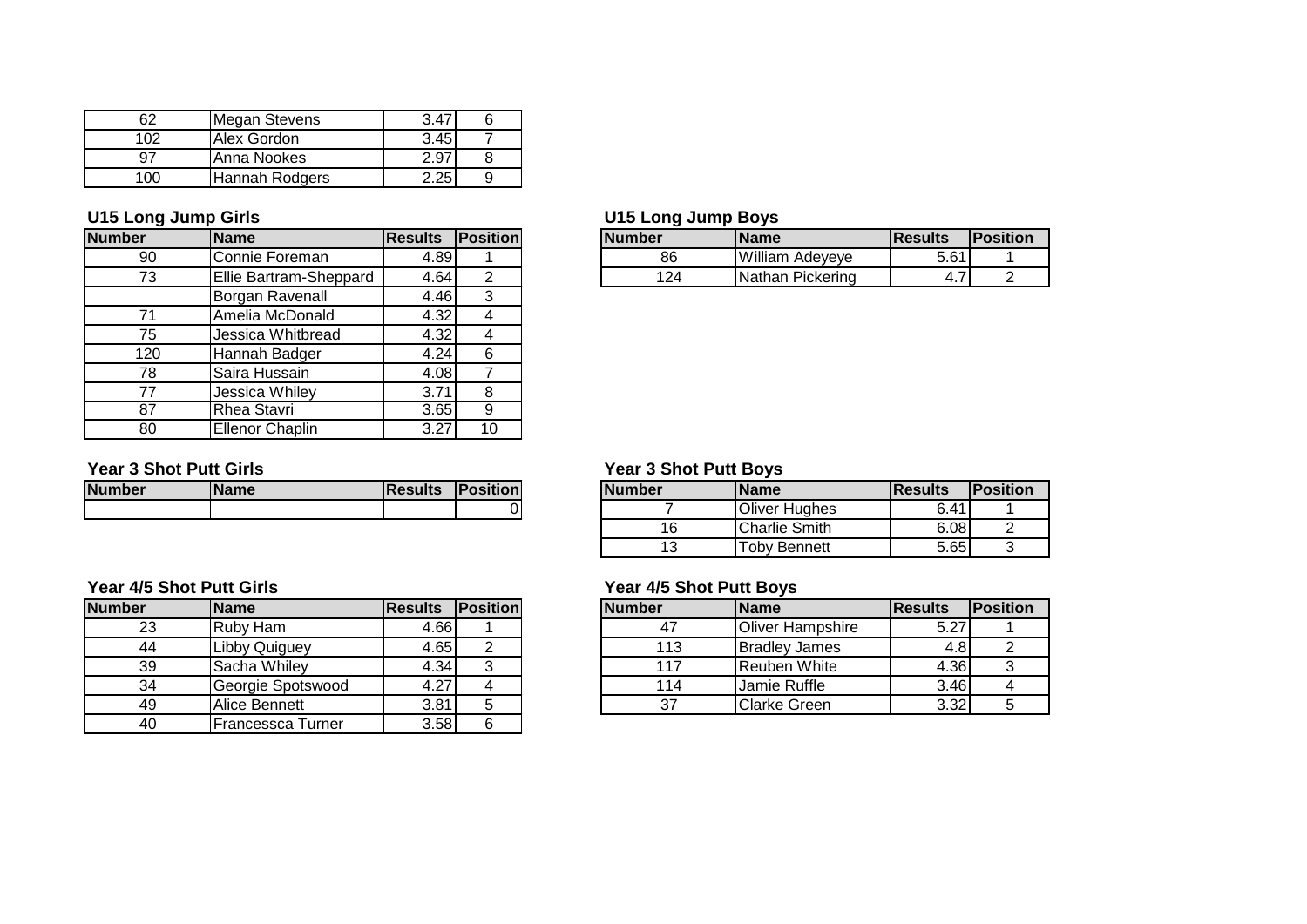| κ.   | Megan Stevens  |      |  |
|------|----------------|------|--|
| 1 ሰ2 | Alex Gordon    | 3.45 |  |
| u,   | Anna Nookes    | ∠.91 |  |
|      | Hannah Rodgers |      |  |

| <b>Number</b> | <b>Name</b>            | <b>Results</b> | Position |
|---------------|------------------------|----------------|----------|
| 90            | Connie Foreman         | 4.89           |          |
| 73            | Ellie Bartram-Sheppard | 4.64           | 2        |
|               | Borgan Ravenall        | 4.46           | 3        |
| 71            | Amelia McDonald        | 4.32           |          |
| 75            | Jessica Whitbread      | 4.32           |          |
| 120           | Hannah Badger          | 4.24           | 6        |
| 78            | Saira Hussain          | 4.08           |          |
| 77            | Jessica Whiley         | 3.71           | 8        |
| 87            | <b>Rhea Stavri</b>     | 3.65           | 9        |
| 80            | <b>Ellenor Chaplin</b> | 3.27           | 10       |

| <b>Number</b> | <b>Name</b> | <b>Results Position</b> |  |
|---------------|-------------|-------------------------|--|
|               |             |                         |  |

|               | Year 4/5 Shot Putt Girls |                | Year 4/5 Shot Putt Boys |               |                   |
|---------------|--------------------------|----------------|-------------------------|---------------|-------------------|
| <b>Number</b> | <b>Name</b>              | <b>Results</b> | Position                | <b>Number</b> | Name              |
| 23            | Ruby Ham                 | 4.66I          |                         | 47            | Oliver Ha         |
| 44            | <b>Libby Quiguey</b>     | 4.65           | 2                       | 113           | <b>Bradley Ja</b> |
| 39            | Sacha Whiley             | 4.34           | 3                       | 117           | Reuben V          |
| 34            | Georgie Spotswood        | 4.27           |                         | 114           | Jamie Ru          |
| 49            | Alice Bennett            | 3.81           | 5                       | 37            | <b>Clarke Gr</b>  |
| 40            | Francessca Turner        | 3.58           | 6                       |               |                   |

## **U15 Long Jump Girls U15 Long Jump Boys**

| Number              | <b>Name</b>            | IResults | <b>Position</b> | <b>Number</b> | 'Name                      | <b>IResults</b> | <b>Position</b> |
|---------------------|------------------------|----------|-----------------|---------------|----------------------------|-----------------|-----------------|
| 90                  | .Connie Foreman        | 4.89     |                 | 86            | William.<br>Adeveve        | 5.61            |                 |
| $\overline{z}$<br>ີ | Ellie Bartram-Sheppard | 4.64     |                 | 124           | Pickering<br><b>Nathan</b> |                 |                 |

### **Year 3 Shot Putt Girls Year 3 Shot Putt Boys**

| Number | lName | <b>Results</b> | <b>Position</b> | <b>Number</b> | Name                 | IResults | <b>Position</b> |
|--------|-------|----------------|-----------------|---------------|----------------------|----------|-----------------|
|        |       |                |                 |               | <b>Oliver Hughes</b> | 6.41     |                 |
|        |       |                |                 | 16            | <b>Charlie Smith</b> | 6.08     |                 |
|        |       |                |                 |               | Toby Bennett         | 5.65     |                 |

| Number | <b>Name</b>           | <b>IResults</b> | <b>IPositionl</b> | <b>Number</b> | <b>Name</b>          | <b>IResults</b> | <b>Position</b> |
|--------|-----------------------|-----------------|-------------------|---------------|----------------------|-----------------|-----------------|
| 23     | Ruby Ham              | 4.66I           |                   |               | Oliver Hampshire     | 5.27            |                 |
| 44     | Libby Quiguey         | 4.651           |                   | 113           | <b>Bradley James</b> |                 |                 |
| 39     | Sacha Whiley          | 4.34            |                   |               | Reuben White         | 4.36            |                 |
| 34     | Georgie Spotswood     | 4.27            |                   | 114           | Jamie Ruffle         | 3.46            |                 |
| 49     | <b>IAlice Bennett</b> | 3.81            |                   |               | <b>Clarke Green</b>  | 3.32            |                 |